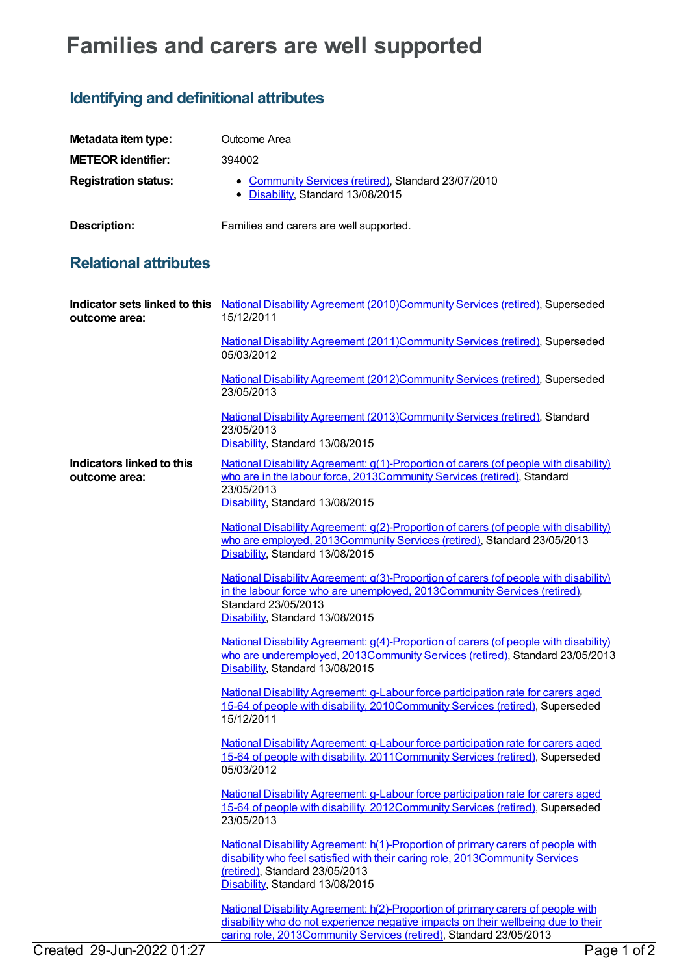## **Families and carers are well supported**

## **Identifying and definitional attributes**

| Metadata item type:         | Outcome Area                                                                             |
|-----------------------------|------------------------------------------------------------------------------------------|
| <b>METEOR identifier:</b>   | 394002                                                                                   |
| <b>Registration status:</b> | • Community Services (retired), Standard 23/07/2010<br>• Disability, Standard 13/08/2015 |
| <b>Description:</b>         | Families and carers are well supported.                                                  |

## **Relational attributes**

| outcome area:                                     | Indicator sets linked to this National Disability Agreement (2010)Community Services (retired), Superseded<br>15/12/2011                                                                                                                          |
|---------------------------------------------------|---------------------------------------------------------------------------------------------------------------------------------------------------------------------------------------------------------------------------------------------------|
|                                                   | National Disability Agreement (2011) Community Services (retired), Superseded<br>05/03/2012                                                                                                                                                       |
|                                                   | National Disability Agreement (2012)Community Services (retired), Superseded<br>23/05/2013                                                                                                                                                        |
|                                                   | National Disability Agreement (2013)Community Services (retired), Standard<br>23/05/2013<br>Disability, Standard 13/08/2015                                                                                                                       |
| <b>Indicators linked to this</b><br>outcome area: | National Disability Agreement: g(1)-Proportion of carers (of people with disability)<br>who are in the labour force, 2013Community Services (retired), Standard<br>23/05/2013<br>Disability, Standard 13/08/2015                                  |
|                                                   | National Disability Agreement: g(2)-Proportion of carers (of people with disability)<br>who are employed, 2013Community Services (retired), Standard 23/05/2013<br>Disability, Standard 13/08/2015                                                |
|                                                   | National Disability Agreement: g(3)-Proportion of carers (of people with disability)<br>in the labour force who are unemployed, 2013Community Services (retired),<br>Standard 23/05/2013<br>Disability, Standard 13/08/2015                       |
|                                                   | National Disability Agreement: g(4)-Proportion of carers (of people with disability)<br>who are underemployed, 2013Community Services (retired), Standard 23/05/2013<br>Disability, Standard 13/08/2015                                           |
|                                                   | National Disability Agreement: g-Labour force participation rate for carers aged<br>15-64 of people with disability, 2010Community Services (retired), Superseded<br>15/12/2011                                                                   |
|                                                   | National Disability Agreement: g-Labour force participation rate for carers aged<br>15-64 of people with disability, 2011Community Services (retired), Superseded<br>05/03/2012                                                                   |
|                                                   | National Disability Agreement: g-Labour force participation rate for carers aged<br>15-64 of people with disability, 2012Community Services (retired), Superseded<br>23/05/2013                                                                   |
|                                                   | National Disability Agreement: h(1)-Proportion of primary carers of people with<br>disability who feel satisfied with their caring role, 2013Community Services<br>(retired), Standard 23/05/2013<br>Disability, Standard 13/08/2015              |
|                                                   | <u>National Disability Agreement: h(2)-Proportion of primary carers of people with</u><br>disability who do not experience negative impacts on their wellbeing due to their<br>caring role, 2013Community Services (retired), Standard 23/05/2013 |